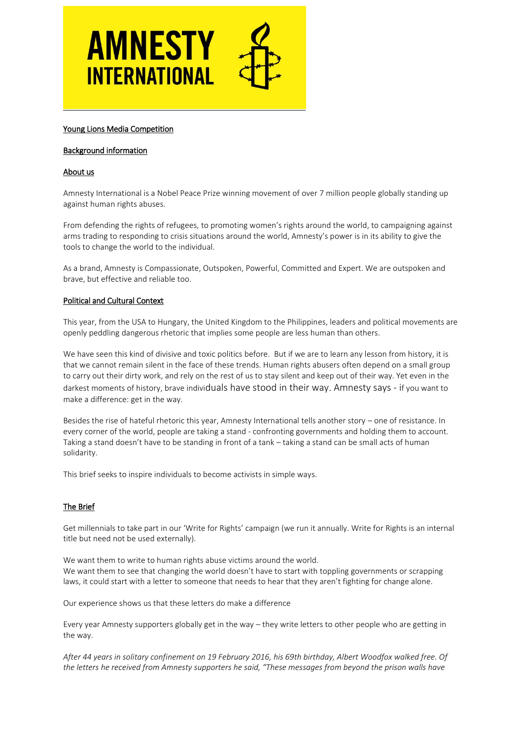

### Young Lions Media Competition

#### Background information

#### About us

Amnesty International is a Nobel Peace Prize winning movement of over 7 million people globally standing up against human rights abuses.

From defending the rights of refugees, to promoting women's rights around the world, to campaigning against arms trading to responding to crisis situations around the world, Amnesty's power is in its ability to give the tools to change the world to the individual.

As a brand, Amnesty is Compassionate, Outspoken, Powerful, Committed and Expert. We are outspoken and brave, but effective and reliable too.

#### Political and Cultural Context

This year, from the USA to Hungary, the United Kingdom to the Philippines, leaders and political movements are openly peddling dangerous rhetoric that implies some people are less human than others.

We have seen this kind of divisive and toxic politics before. But if we are to learn any lesson from history, it is that we cannot remain silent in the face of these trends. Human rights abusers often depend on a small group to carry out their dirty work, and rely on the rest of us to stay silent and keep out of their way. Yet even in the darkest moments of history, brave individuals have stood in their way. Amnesty says - if you want to make a difference: get in the way.

Besides the rise of hateful rhetoric this year, Amnesty International tells another story – one of resistance. In every corner of the world, people are taking a stand - confronting governments and holding them to account. Taking a stand doesn't have to be standing in front of a tank – taking a stand can be small acts of human solidarity.

This brief seeks to inspire individuals to become activists in simple ways.

# The Brief

Get millennials to take part in our 'Write for Rights' campaign (we run it annually. Write for Rights is an internal title but need not be used externally).

We want them to write to human rights abuse victims around the world. We want them to see that changing the world doesn't have to start with toppling governments or scrapping laws, it could start with a letter to someone that needs to hear that they aren't fighting for change alone.

Our experience shows us that these letters do make a difference

Every year Amnesty supporters globally get in the way – they write letters to other people who are getting in the way.

*After 44 years in solitary confinement on 19 February 2016, his 69th birthday, Albert Woodfox walked free. Of the letters he received from Amnesty supporters he said, "These messages from beyond the prison walls have*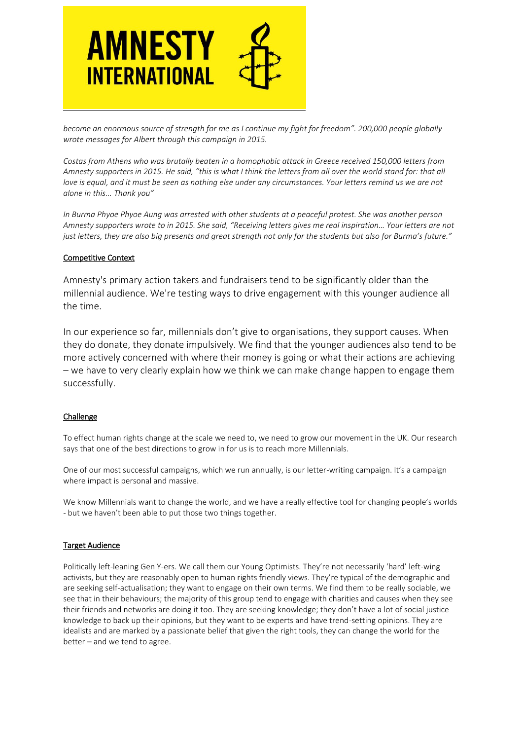

*become an enormous source of strength for me as I continue my fight for freedom". 200,000 people globally wrote messages for Albert through this campaign in 2015.*

*Costas from Athens who was brutally beaten in a homophobic attack in Greece received 150,000 letters from Amnesty supporters in 2015. He said, "this is what I think the letters from all over the world stand for: that all love is equal, and it must be seen as nothing else under any circumstances. Your letters remind us we are not alone in this... Thank you"*

*In Burma Phyoe Phyoe Aung was arrested with other students at a peaceful protest. She was another person Amnesty supporters wrote to in 2015. She said, "Receiving letters gives me real inspiration… Your letters are not just letters, they are also big presents and great strength not only for the students but also for Burma's future."*

#### Competitive Context

Amnesty's primary action takers and fundraisers tend to be significantly older than the millennial audience. We're testing ways to drive engagement with this younger audience all the time.

In our experience so far, millennials don't give to organisations, they support causes. When they do donate, they donate impulsively. We find that the younger audiences also tend to be more actively concerned with where their money is going or what their actions are achieving – we have to very clearly explain how we think we can make change happen to engage them successfully.

#### Challenge

To effect human rights change at the scale we need to, we need to grow our movement in the UK. Our research says that one of the best directions to grow in for us is to reach more Millennials.

One of our most successful campaigns, which we run annually, is our letter-writing campaign. It's a campaign where impact is personal and massive.

We know Millennials want to change the world, and we have a really effective tool for changing people's worlds - but we haven't been able to put those two things together.

# Target Audience

Politically left-leaning Gen Y-ers. We call them our Young Optimists. They're not necessarily 'hard' left-wing activists, but they are reasonably open to human rights friendly views. They're typical of the demographic and are seeking self-actualisation; they want to engage on their own terms. We find them to be really sociable, we see that in their behaviours; the majority of this group tend to engage with charities and causes when they see their friends and networks are doing it too. They are seeking knowledge; they don't have a lot of social justice knowledge to back up their opinions, but they want to be experts and have trend-setting opinions. They are idealists and are marked by a passionate belief that given the right tools, they can change the world for the better – and we tend to agree.